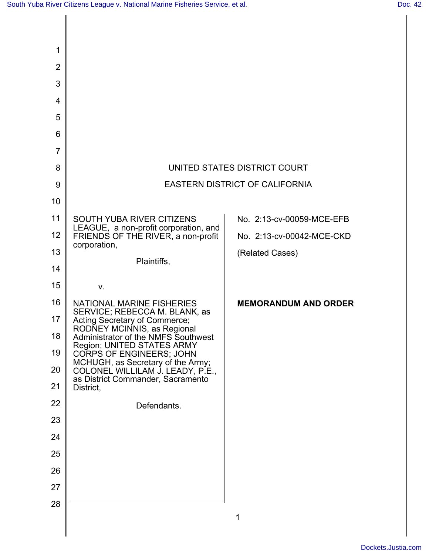| 1              |                                                                                                            |                                       |
|----------------|------------------------------------------------------------------------------------------------------------|---------------------------------------|
| $\overline{2}$ |                                                                                                            |                                       |
| 3              |                                                                                                            |                                       |
| 4              |                                                                                                            |                                       |
| 5              |                                                                                                            |                                       |
| 6              |                                                                                                            |                                       |
| $\overline{7}$ |                                                                                                            |                                       |
| 8              |                                                                                                            | UNITED STATES DISTRICT COURT          |
| 9              |                                                                                                            | <b>EASTERN DISTRICT OF CALIFORNIA</b> |
| 10             |                                                                                                            |                                       |
| 11             | SOUTH YUBA RIVER CITIZENS                                                                                  | No. 2:13-cv-00059-MCE-EFB             |
| 12             | LEAGUE, a non-profit corporation, and<br>FRIENDS OF THE RIVER, a non-profit                                | No. 2:13-cv-00042-MCE-CKD             |
| 13             | corporation,                                                                                               | (Related Cases)                       |
| 14             | Plaintiffs,                                                                                                |                                       |
| 15             | V.                                                                                                         |                                       |
| 16             | <b>NATIONAL MARINE FISHERIES</b><br>SERVICE; REBECCA M. BLANK, as                                          | <b>MEMORANDUM AND ORDER</b>           |
| 17             | Acting Secretary of Commerce;<br>RODŇEY MCINNIS, as Regional                                               |                                       |
| 18             | Administrator of the NMFS Southwest<br>Region; UNITED STATES ARMY                                          |                                       |
| 19             | CORPS OF ENGINEERS; JOHN                                                                                   |                                       |
| 20             | MCHUGH, as Secretary of the Army;<br>COLONEL WILLILAM J. LEADY, P.E.,<br>as District Commander, Sacramento |                                       |
| 21             | District,                                                                                                  |                                       |
| 22             | Defendants.                                                                                                |                                       |
| 23             |                                                                                                            |                                       |
| 24             |                                                                                                            |                                       |
| 25             |                                                                                                            |                                       |
| 26             |                                                                                                            |                                       |
| 27             |                                                                                                            |                                       |
| 28             |                                                                                                            |                                       |
|                |                                                                                                            | 1                                     |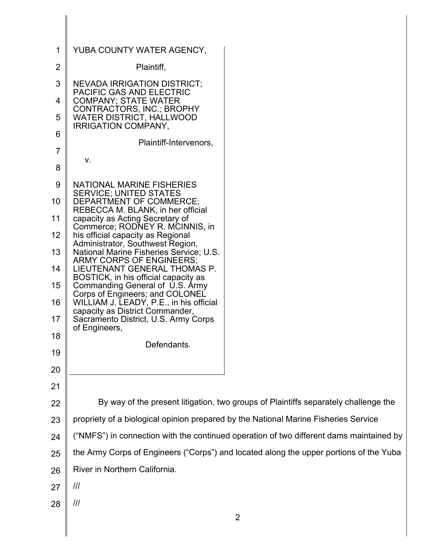| 1              | YUBA COUNTY WATER AGENCY,                                                           |                                                                                         |  |
|----------------|-------------------------------------------------------------------------------------|-----------------------------------------------------------------------------------------|--|
| $\overline{2}$ | Plaintiff,                                                                          |                                                                                         |  |
| 3              | <b>NEVADA IRRIGATION DISTRICT;</b>                                                  |                                                                                         |  |
| 4              | <b>PACIFIC GAS AND ELECTRIC</b><br><b>COMPANY; STATE WATER</b>                      |                                                                                         |  |
| 5              | CONTRACTORS, INC.; BROPHY<br>WATER DISTRICT, HALLWOOD<br><b>IRRIGATION COMPANY,</b> |                                                                                         |  |
| 6              | Plaintiff-Intervenors,                                                              |                                                                                         |  |
| $\overline{7}$ | V.                                                                                  |                                                                                         |  |
| 8              |                                                                                     |                                                                                         |  |
| 9              | NATIONAL MARINE FISHERIES<br><b>SERVICE; UNITED STATES</b>                          |                                                                                         |  |
| 10             | DEPARTMENT OF COMMERCE;<br>REBECCA M. BLANK, in her official                        |                                                                                         |  |
| 11             | capacity as Acting Secretary of<br>Commerce; RODNEY R. MCINNIS, in                  |                                                                                         |  |
| 12             | his official capacity as Regional                                                   |                                                                                         |  |
| 13             | Administrator, Southwest Region,<br>National Marine Fisheries Service; U.S.         |                                                                                         |  |
| 14             | ARMY CORPS OF ENGINEERS;<br>LIEUTENANT GENERAL THOMAS P.                            |                                                                                         |  |
| 15             | BOSTICK, in his official capacity as<br>Commanding General of U.S. Army             |                                                                                         |  |
| 16             | Corps of Engineers; and COLONEL<br>WILLIAM J. LEADY, P.E., in his official          |                                                                                         |  |
| 17             | capacity as District Commander,<br>Sacramento District, U.S. Army Corps             |                                                                                         |  |
| 18             | of Engineers,                                                                       |                                                                                         |  |
| 19             | Defendants.                                                                         |                                                                                         |  |
| 20             |                                                                                     |                                                                                         |  |
| 21             |                                                                                     |                                                                                         |  |
| 22             |                                                                                     | By way of the present litigation, two groups of Plaintiffs separately challenge the     |  |
| 23             | propriety of a biological opinion prepared by the National Marine Fisheries Service |                                                                                         |  |
| 24             |                                                                                     | ("NMFS") in connection with the continued operation of two different dams maintained by |  |
| 25             |                                                                                     | the Army Corps of Engineers ("Corps") and located along the upper portions of the Yuba  |  |
| 26             | River in Northern California.                                                       |                                                                                         |  |
| 27             | $\mathcal{H}$                                                                       |                                                                                         |  |
| 28             | ///                                                                                 |                                                                                         |  |
|                |                                                                                     | $\overline{2}$                                                                          |  |
|                |                                                                                     |                                                                                         |  |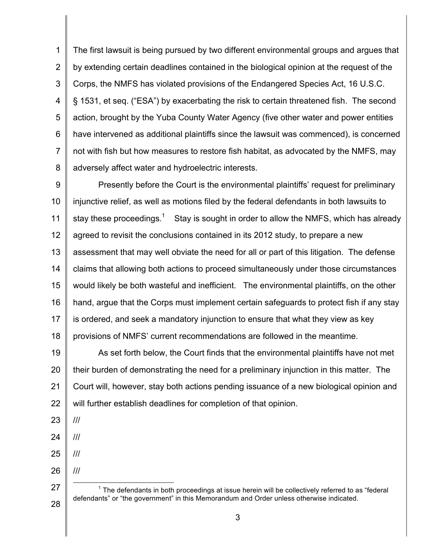1 2 3 4 5 6 7 8 The first lawsuit is being pursued by two different environmental groups and argues that by extending certain deadlines contained in the biological opinion at the request of the Corps, the NMFS has violated provisions of the Endangered Species Act, 16 U.S.C. § 1531, et seq. ("ESA") by exacerbating the risk to certain threatened fish. The second action, brought by the Yuba County Water Agency (five other water and power entities have intervened as additional plaintiffs since the lawsuit was commenced), is concerned not with fish but how measures to restore fish habitat, as advocated by the NMFS, may adversely affect water and hydroelectric interests.

9 10 11 12 13 14 15 16 17 18 Presently before the Court is the environmental plaintiffs' request for preliminary injunctive relief, as well as motions filed by the federal defendants in both lawsuits to stay these proceedings.<sup>1</sup> Stay is sought in order to allow the NMFS, which has already agreed to revisit the conclusions contained in its 2012 study, to prepare a new assessment that may well obviate the need for all or part of this litigation. The defense claims that allowing both actions to proceed simultaneously under those circumstances would likely be both wasteful and inefficient. The environmental plaintiffs, on the other hand, argue that the Corps must implement certain safeguards to protect fish if any stay is ordered, and seek a mandatory injunction to ensure that what they view as key provisions of NMFS' current recommendations are followed in the meantime.

19 20 21 22 As set forth below, the Court finds that the environmental plaintiffs have not met their burden of demonstrating the need for a preliminary injunction in this matter. The Court will, however, stay both actions pending issuance of a new biological opinion and will further establish deadlines for completion of that opinion.

23 ///

24

///

///

///

- 25
- 26

27

28

 $1$  The defendants in both proceedings at issue herein will be collectively referred to as "federal defendants" or "the government" in this Memorandum and Order unless otherwise indicated.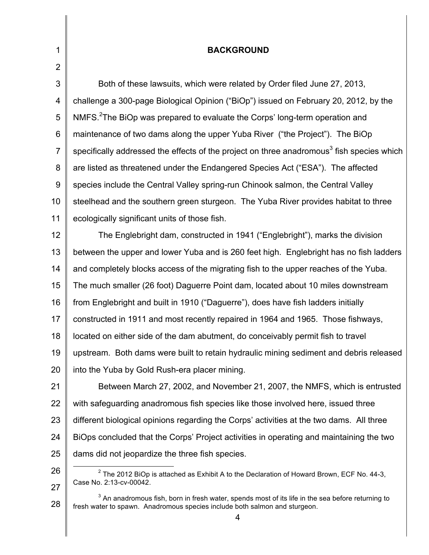| $\mathbf{1}$   | <b>BACKGROUND</b>                                                                                     |
|----------------|-------------------------------------------------------------------------------------------------------|
| $\overline{2}$ |                                                                                                       |
| $\mathfrak{S}$ | Both of these lawsuits, which were related by Order filed June 27, 2013,                              |
| 4              | challenge a 300-page Biological Opinion ("BiOp") issued on February 20, 2012, by the                  |
| 5              | NMFS. <sup>2</sup> The BiOp was prepared to evaluate the Corps' long-term operation and               |
| $\,6$          | maintenance of two dams along the upper Yuba River ("the Project"). The BiOp                          |
| $\overline{7}$ | specifically addressed the effects of the project on three anadromous <sup>3</sup> fish species which |
| 8              | are listed as threatened under the Endangered Species Act ("ESA"). The affected                       |
| $\overline{9}$ | species include the Central Valley spring-run Chinook salmon, the Central Valley                      |
| 10             | steelhead and the southern green sturgeon. The Yuba River provides habitat to three                   |
| 11             | ecologically significant units of those fish.                                                         |
| 12             | The Englebright dam, constructed in 1941 ("Englebright"), marks the division                          |
| 13             | between the upper and lower Yuba and is 260 feet high. Englebright has no fish ladders                |
| 14             | and completely blocks access of the migrating fish to the upper reaches of the Yuba.                  |
| 15             | The much smaller (26 foot) Daguerre Point dam, located about 10 miles downstream                      |
| 16             | from Englebright and built in 1910 ("Daguerre"), does have fish ladders initially                     |
| 17             | constructed in 1911 and most recently repaired in 1964 and 1965. Those fishways,                      |
| 18             | located on either side of the dam abutment, do conceivably permit fish to travel                      |
| 19             | upstream. Both dams were built to retain hydraulic mining sediment and debris released                |
| 20             | into the Yuba by Gold Rush-era placer mining.                                                         |
| 21             | Between March 27, 2002, and November 21, 2007, the NMFS, which is entrusted                           |
| 22             | with safeguarding anadromous fish species like those involved here, issued three                      |
| 23             | different biological opinions regarding the Corps' activities at the two dams. All three              |
| 24             | BiOps concluded that the Corps' Project activities in operating and maintaining the two               |
| 25             | dams did not jeopardize the three fish species.                                                       |
| 26             | $2$ The 2012 BiOp is attached as Exhibit A to the Declaration of Howard Brown, ECF No. 44-3,          |

Case No. 2:13-cv-00042.

<sup>27</sup> 28  $^3$  An anadromous fish, born in fresh water, spends most of its life in the sea before returning to fresh water to spawn. Anadromous species include both salmon and sturgeon.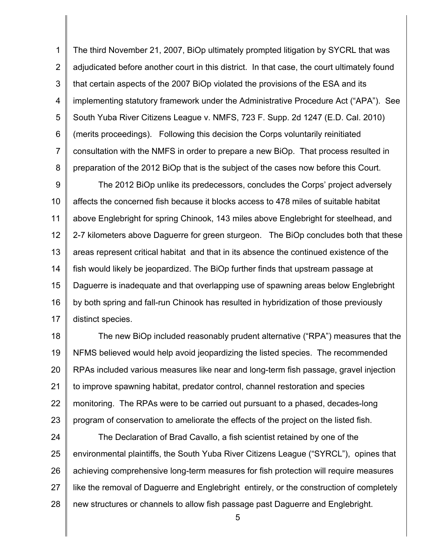1 2 3 4 5 6 7 8 The third November 21, 2007, BiOp ultimately prompted litigation by SYCRL that was adjudicated before another court in this district. In that case, the court ultimately found that certain aspects of the 2007 BiOp violated the provisions of the ESA and its implementing statutory framework under the Administrative Procedure Act ("APA"). See South Yuba River Citizens League v. NMFS, 723 F. Supp. 2d 1247 (E.D. Cal. 2010) (merits proceedings). Following this decision the Corps voluntarily reinitiated consultation with the NMFS in order to prepare a new BiOp. That process resulted in preparation of the 2012 BiOp that is the subject of the cases now before this Court.

9 10 11 12 13 14 15 16 17 The 2012 BiOp unlike its predecessors, concludes the Corps' project adversely affects the concerned fish because it blocks access to 478 miles of suitable habitat above Englebright for spring Chinook, 143 miles above Englebright for steelhead, and 2-7 kilometers above Daguerre for green sturgeon. The BiOp concludes both that these areas represent critical habitat and that in its absence the continued existence of the fish would likely be jeopardized. The BiOp further finds that upstream passage at Daguerre is inadequate and that overlapping use of spawning areas below Englebright by both spring and fall-run Chinook has resulted in hybridization of those previously distinct species.

18 19 20 21 22 23 The new BiOp included reasonably prudent alternative ("RPA") measures that the NFMS believed would help avoid jeopardizing the listed species. The recommended RPAs included various measures like near and long-term fish passage, gravel injection to improve spawning habitat, predator control, channel restoration and species monitoring. The RPAs were to be carried out pursuant to a phased, decades-long program of conservation to ameliorate the effects of the project on the listed fish.

24 25 26 27 28 The Declaration of Brad Cavallo, a fish scientist retained by one of the environmental plaintiffs, the South Yuba River Citizens League ("SYRCL"), opines that achieving comprehensive long-term measures for fish protection will require measures like the removal of Daguerre and Englebright entirely, or the construction of completely new structures or channels to allow fish passage past Daguerre and Englebright.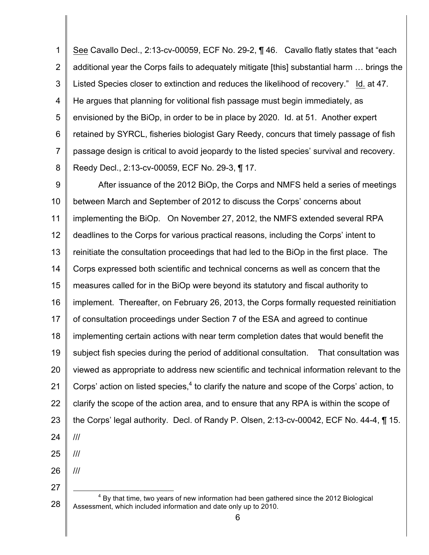1 2 3 4 5 6 7 8 See Cavallo Decl., 2:13-cv-00059, ECF No. 29-2, ¶ 46. Cavallo flatly states that "each additional year the Corps fails to adequately mitigate [this] substantial harm … brings the Listed Species closer to extinction and reduces the likelihood of recovery." Id. at 47. He argues that planning for volitional fish passage must begin immediately, as envisioned by the BiOp, in order to be in place by 2020. Id. at 51. Another expert retained by SYRCL, fisheries biologist Gary Reedy, concurs that timely passage of fish passage design is critical to avoid jeopardy to the listed species' survival and recovery. Reedy Decl., 2:13-cv-00059, ECF No. 29-3, ¶ 17.

9 10 11 12 13 14 15 16 17 18 19 20 21 22 23 24 After issuance of the 2012 BiOp, the Corps and NMFS held a series of meetings between March and September of 2012 to discuss the Corps' concerns about implementing the BiOp. On November 27, 2012, the NMFS extended several RPA deadlines to the Corps for various practical reasons, including the Corps' intent to reinitiate the consultation proceedings that had led to the BiOp in the first place. The Corps expressed both scientific and technical concerns as well as concern that the measures called for in the BiOp were beyond its statutory and fiscal authority to implement. Thereafter, on February 26, 2013, the Corps formally requested reinitiation of consultation proceedings under Section 7 of the ESA and agreed to continue implementing certain actions with near term completion dates that would benefit the subject fish species during the period of additional consultation. That consultation was viewed as appropriate to address new scientific and technical information relevant to the Corps' action on listed species, $4$  to clarify the nature and scope of the Corps' action, to clarify the scope of the action area, and to ensure that any RPA is within the scope of the Corps' legal authority. Decl. of Randy P. Olsen, 2:13-cv-00042, ECF No. 44-4, ¶ 15. ///

25

///

///

26

<sup>28</sup>  $4$  By that time, two years of new information had been gathered since the 2012 Biological Assessment, which included information and date only up to 2010.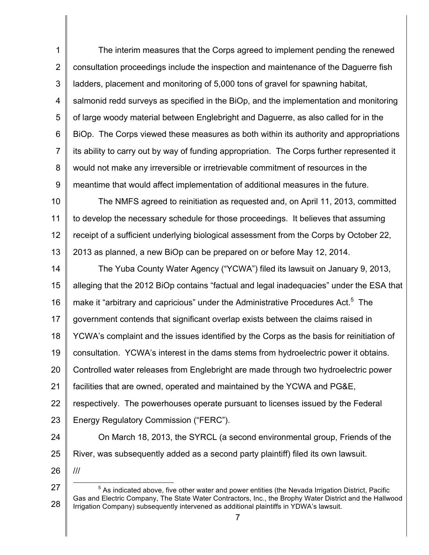1 2 3 4 5 6 7 8 9 The interim measures that the Corps agreed to implement pending the renewed consultation proceedings include the inspection and maintenance of the Daguerre fish ladders, placement and monitoring of 5,000 tons of gravel for spawning habitat, salmonid redd surveys as specified in the BiOp, and the implementation and monitoring of large woody material between Englebright and Daguerre, as also called for in the BiOp. The Corps viewed these measures as both within its authority and appropriations its ability to carry out by way of funding appropriation. The Corps further represented it would not make any irreversible or irretrievable commitment of resources in the meantime that would affect implementation of additional measures in the future.

10 11 12 13 The NMFS agreed to reinitiation as requested and, on April 11, 2013, committed to develop the necessary schedule for those proceedings. It believes that assuming receipt of a sufficient underlying biological assessment from the Corps by October 22, 2013 as planned, a new BiOp can be prepared on or before May 12, 2014.

14 15 16 17 18 19 20 21 22 23 24 The Yuba County Water Agency ("YCWA") filed its lawsuit on January 9, 2013, alleging that the 2012 BiOp contains "factual and legal inadequacies" under the ESA that make it "arbitrary and capricious" under the Administrative Procedures Act.<sup>5</sup> The government contends that significant overlap exists between the claims raised in YCWA's complaint and the issues identified by the Corps as the basis for reinitiation of consultation. YCWA's interest in the dams stems from hydroelectric power it obtains. Controlled water releases from Englebright are made through two hydroelectric power facilities that are owned, operated and maintained by the YCWA and PG&E, respectively. The powerhouses operate pursuant to licenses issued by the Federal Energy Regulatory Commission ("FERC"). On March 18, 2013, the SYRCL (a second environmental group, Friends of the

- 25 River, was subsequently added as a second party plaintiff) filed its own lawsuit.
- 26

<sup>27</sup> 28  $<sup>5</sup>$  As indicated above, five other water and power entities (the Nevada Irrigation District, Pacific</sup> Gas and Electric Company, The State Water Contractors, Inc., the Brophy Water District and the Hallwood Irrigation Company) subsequently intervened as additional plaintiffs in YDWA's lawsuit.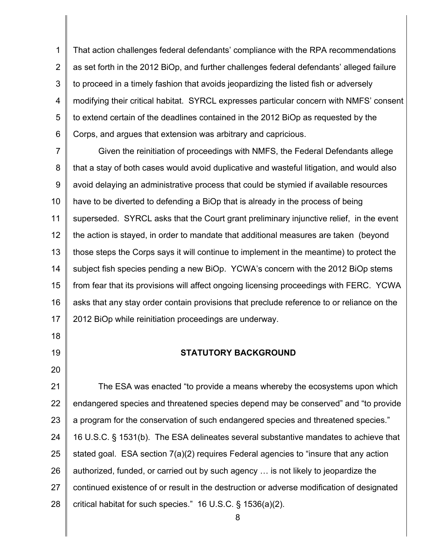1 2 3 4 5 6 That action challenges federal defendants' compliance with the RPA recommendations as set forth in the 2012 BiOp, and further challenges federal defendants' alleged failure to proceed in a timely fashion that avoids jeopardizing the listed fish or adversely modifying their critical habitat. SYRCL expresses particular concern with NMFS' consent to extend certain of the deadlines contained in the 2012 BiOp as requested by the Corps, and argues that extension was arbitrary and capricious.

7 8 9 10 11 12 13 14 15 16 17 Given the reinitiation of proceedings with NMFS, the Federal Defendants allege that a stay of both cases would avoid duplicative and wasteful litigation, and would also avoid delaying an administrative process that could be stymied if available resources have to be diverted to defending a BiOp that is already in the process of being superseded. SYRCL asks that the Court grant preliminary injunctive relief, in the event the action is stayed, in order to mandate that additional measures are taken (beyond those steps the Corps says it will continue to implement in the meantime) to protect the subject fish species pending a new BiOp. YCWA's concern with the 2012 BiOp stems from fear that its provisions will affect ongoing licensing proceedings with FERC. YCWA asks that any stay order contain provisions that preclude reference to or reliance on the 2012 BiOp while reinitiation proceedings are underway.

### **STATUTORY BACKGROUND**

18

19

20

21 22 23 24 25 26 27 28 The ESA was enacted "to provide a means whereby the ecosystems upon which endangered species and threatened species depend may be conserved" and "to provide a program for the conservation of such endangered species and threatened species." 16 U.S.C. § 1531(b). The ESA delineates several substantive mandates to achieve that stated goal. ESA section 7(a)(2) requires Federal agencies to "insure that any action authorized, funded, or carried out by such agency … is not likely to jeopardize the continued existence of or result in the destruction or adverse modification of designated critical habitat for such species." 16 U.S.C. § 1536(a)(2).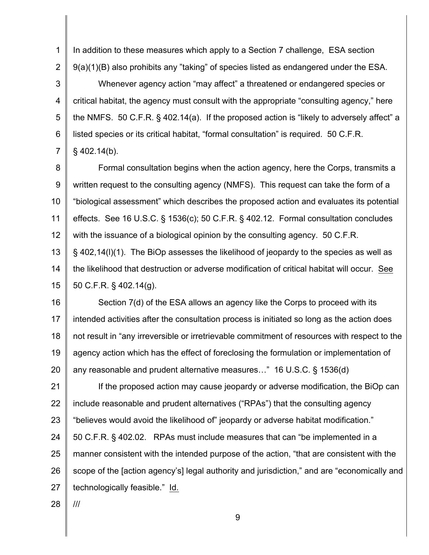1 2 In addition to these measures which apply to a Section 7 challenge, ESA section 9(a)(1)(B) also prohibits any "taking" of species listed as endangered under the ESA.

3 4 5 6 7 Whenever agency action "may affect" a threatened or endangered species or critical habitat, the agency must consult with the appropriate "consulting agency," here the NMFS. 50 C.F.R. § 402.14(a). If the proposed action is "likely to adversely affect" a listed species or its critical habitat, "formal consultation" is required. 50 C.F.R.  $§$  402.14(b).

8 9 10 11 12 13 14 15 Formal consultation begins when the action agency, here the Corps, transmits a written request to the consulting agency (NMFS). This request can take the form of a "biological assessment" which describes the proposed action and evaluates its potential effects. See 16 U.S.C. § 1536(c); 50 C.F.R. § 402.12. Formal consultation concludes with the issuance of a biological opinion by the consulting agency. 50 C.F.R. § 402,14(l)(1). The BiOp assesses the likelihood of jeopardy to the species as well as the likelihood that destruction or adverse modification of critical habitat will occur. See 50 C.F.R. § 402.14(g).

16 17 18 19 20 Section 7(d) of the ESA allows an agency like the Corps to proceed with its intended activities after the consultation process is initiated so long as the action does not result in "any irreversible or irretrievable commitment of resources with respect to the agency action which has the effect of foreclosing the formulation or implementation of any reasonable and prudent alternative measures…" 16 U.S.C. § 1536(d)

21 22 23 24 25 26 27 If the proposed action may cause jeopardy or adverse modification, the BiOp can include reasonable and prudent alternatives ("RPAs") that the consulting agency "believes would avoid the likelihood of" jeopardy or adverse habitat modification." 50 C.F.R. § 402.02. RPAs must include measures that can "be implemented in a manner consistent with the intended purpose of the action, "that are consistent with the scope of the [action agency's] legal authority and jurisdiction," and are "economically and technologically feasible." Id.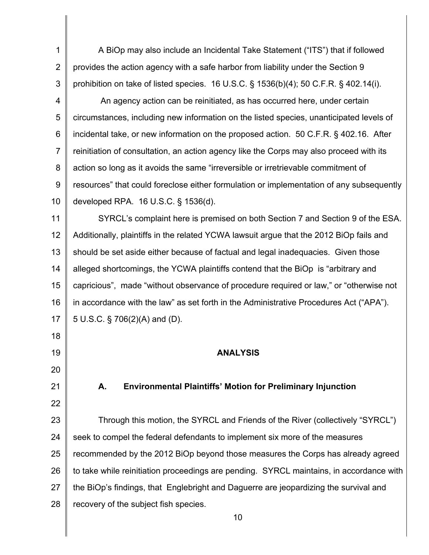1 2 3 A BiOp may also include an Incidental Take Statement ("ITS") that if followed provides the action agency with a safe harbor from liability under the Section 9 prohibition on take of listed species. 16 U.S.C. § 1536(b)(4); 50 C.F.R. § 402.14(i).

4 5 6 7 8 9 10 An agency action can be reinitiated, as has occurred here, under certain circumstances, including new information on the listed species, unanticipated levels of incidental take, or new information on the proposed action. 50 C.F.R. § 402.16. After reinitiation of consultation, an action agency like the Corps may also proceed with its action so long as it avoids the same "irreversible or irretrievable commitment of resources" that could foreclose either formulation or implementation of any subsequently developed RPA. 16 U.S.C. § 1536(d).

11 12 13 14 15 16 17 SYRCL's complaint here is premised on both Section 7 and Section 9 of the ESA. Additionally, plaintiffs in the related YCWA lawsuit argue that the 2012 BiOp fails and should be set aside either because of factual and legal inadequacies. Given those alleged shortcomings, the YCWA plaintiffs contend that the BiOp is "arbitrary and capricious", made "without observance of procedure required or law," or "otherwise not in accordance with the law" as set forth in the Administrative Procedures Act ("APA"). 5 U.S.C. § 706(2)(A) and (D).

18

19

20

21

22

**ANALYSIS**

## **A. Environmental Plaintiffs' Motion for Preliminary Injunction**

23 24 25 26 27 28 Through this motion, the SYRCL and Friends of the River (collectively "SYRCL") seek to compel the federal defendants to implement six more of the measures recommended by the 2012 BiOp beyond those measures the Corps has already agreed to take while reinitiation proceedings are pending. SYRCL maintains, in accordance with the BiOp's findings, that Englebright and Daguerre are jeopardizing the survival and recovery of the subject fish species.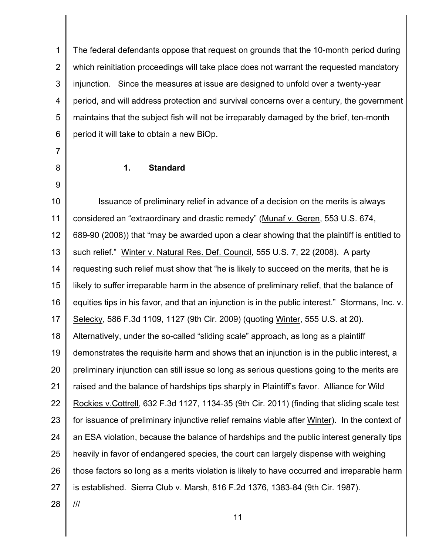1 2 3 4 5 6 The federal defendants oppose that request on grounds that the 10-month period during which reinitiation proceedings will take place does not warrant the requested mandatory injunction. Since the measures at issue are designed to unfold over a twenty-year period, and will address protection and survival concerns over a century, the government maintains that the subject fish will not be irreparably damaged by the brief, ten-month period it will take to obtain a new BiOp.

**1. Standard**

7

8

9

10 11 12 13 14 15 16 17 18 19 20 21 22 23 24 25 26 27 28 Issuance of preliminary relief in advance of a decision on the merits is always considered an "extraordinary and drastic remedy" (Munaf v. Geren, 553 U.S. 674, 689-90 (2008)) that "may be awarded upon a clear showing that the plaintiff is entitled to such relief." Winter v. Natural Res. Def. Council, 555 U.S. 7, 22 (2008). A party requesting such relief must show that "he is likely to succeed on the merits, that he is likely to suffer irreparable harm in the absence of preliminary relief, that the balance of equities tips in his favor, and that an injunction is in the public interest." Stormans, Inc. v. Selecky, 586 F.3d 1109, 1127 (9th Cir. 2009) (quoting Winter, 555 U.S. at 20). Alternatively, under the so-called "sliding scale" approach, as long as a plaintiff demonstrates the requisite harm and shows that an injunction is in the public interest, a preliminary injunction can still issue so long as serious questions going to the merits are raised and the balance of hardships tips sharply in Plaintiff's favor. Alliance for Wild Rockies v.Cottrell, 632 F.3d 1127, 1134-35 (9th Cir. 2011) (finding that sliding scale test for issuance of preliminary injunctive relief remains viable after Winter). In the context of an ESA violation, because the balance of hardships and the public interest generally tips heavily in favor of endangered species, the court can largely dispense with weighing those factors so long as a merits violation is likely to have occurred and irreparable harm is established. Sierra Club v. Marsh, 816 F.2d 1376, 1383-84 (9th Cir. 1987). ///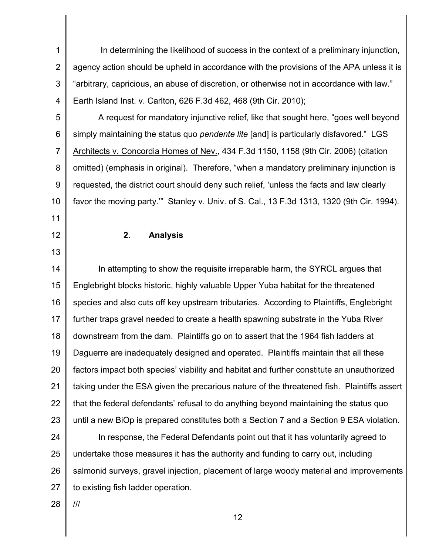1 2 3 4 In determining the likelihood of success in the context of a preliminary injunction, agency action should be upheld in accordance with the provisions of the APA unless it is "arbitrary, capricious, an abuse of discretion, or otherwise not in accordance with law." Earth Island Inst. v. Carlton, 626 F.3d 462, 468 (9th Cir. 2010);

5 6 7 8 9 10 A request for mandatory injunctive relief, like that sought here, "goes well beyond simply maintaining the status quo *pendente lite* [and] is particularly disfavored." LGS Architects v. Concordia Homes of Nev., 434 F.3d 1150, 1158 (9th Cir. 2006) (citation omitted) (emphasis in original). Therefore, "when a mandatory preliminary injunction is requested, the district court should deny such relief, 'unless the facts and law clearly favor the moving party.'" Stanley v. Univ. of S. Cal., 13 F.3d 1313, 1320 (9th Cir. 1994).

**2**. **Analysis**

14 15 16 17 18 19 20 21 22 23 In attempting to show the requisite irreparable harm, the SYRCL argues that Englebright blocks historic, highly valuable Upper Yuba habitat for the threatened species and also cuts off key upstream tributaries. According to Plaintiffs, Englebright further traps gravel needed to create a health spawning substrate in the Yuba River downstream from the dam. Plaintiffs go on to assert that the 1964 fish ladders at Daguerre are inadequately designed and operated. Plaintiffs maintain that all these factors impact both species' viability and habitat and further constitute an unauthorized taking under the ESA given the precarious nature of the threatened fish. Plaintiffs assert that the federal defendants' refusal to do anything beyond maintaining the status quo until a new BiOp is prepared constitutes both a Section 7 and a Section 9 ESA violation.

24 25 26 27 In response, the Federal Defendants point out that it has voluntarily agreed to undertake those measures it has the authority and funding to carry out, including salmonid surveys, gravel injection, placement of large woody material and improvements to existing fish ladder operation.

28 ///

11

12

13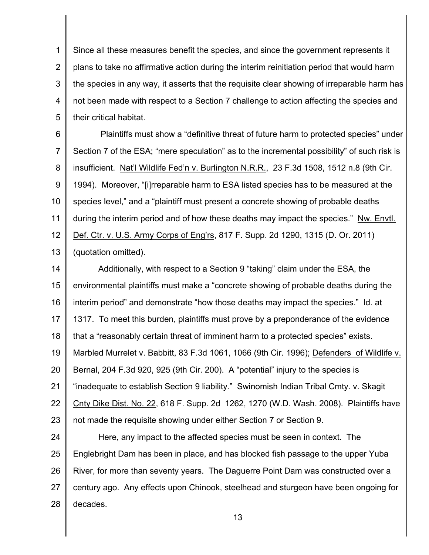1 2 3 4 5 Since all these measures benefit the species, and since the government represents it plans to take no affirmative action during the interim reinitiation period that would harm the species in any way, it asserts that the requisite clear showing of irreparable harm has not been made with respect to a Section 7 challenge to action affecting the species and their critical habitat.

6 7 8 9 10 11 12 13 Plaintiffs must show a "definitive threat of future harm to protected species" under Section 7 of the ESA; "mere speculation" as to the incremental possibility" of such risk is insufficient. Nat'l Wildlife Fed'n v. Burlington N.R.R., 23 F.3d 1508, 1512 n.8 (9th Cir. 1994). Moreover, "[i]rreparable harm to ESA listed species has to be measured at the species level," and a "plaintiff must present a concrete showing of probable deaths during the interim period and of how these deaths may impact the species." Nw. Envtl. Def. Ctr. v. U.S. Army Corps of Eng'rs, 817 F. Supp. 2d 1290, 1315 (D. Or. 2011) (quotation omitted).

14 15 16 17 18 19 20 21 22 23 Additionally, with respect to a Section 9 "taking" claim under the ESA, the environmental plaintiffs must make a "concrete showing of probable deaths during the interim period" and demonstrate "how those deaths may impact the species." Id. at 1317. To meet this burden, plaintiffs must prove by a preponderance of the evidence that a "reasonably certain threat of imminent harm to a protected species" exists. Marbled Murrelet v. Babbitt, 83 F.3d 1061, 1066 (9th Cir. 1996); Defenders of Wildlife v. Bernal, 204 F.3d 920, 925 (9th Cir. 200). A "potential" injury to the species is "inadequate to establish Section 9 liability." Swinomish Indian Tribal Cmty. v. Skagit Cnty Dike Dist. No. 22, 618 F. Supp. 2d 1262, 1270 (W.D. Wash. 2008). Plaintiffs have not made the requisite showing under either Section 7 or Section 9.

24 25 26 27 28 Here, any impact to the affected species must be seen in context. The Englebright Dam has been in place, and has blocked fish passage to the upper Yuba River, for more than seventy years. The Daguerre Point Dam was constructed over a century ago. Any effects upon Chinook, steelhead and sturgeon have been ongoing for decades.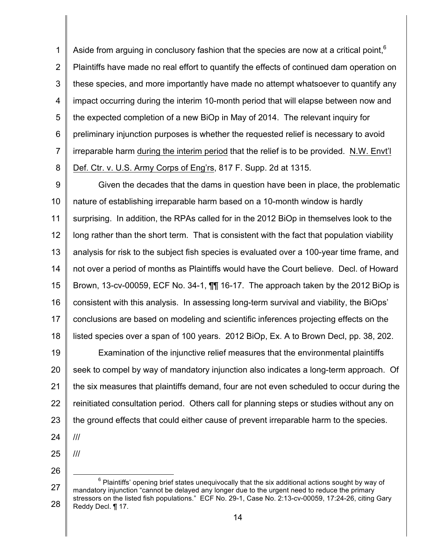1 2 3 4 5 6 7 8 Aside from arguing in conclusory fashion that the species are now at a critical point,  $6$ Plaintiffs have made no real effort to quantify the effects of continued dam operation on these species, and more importantly have made no attempt whatsoever to quantify any impact occurring during the interim 10-month period that will elapse between now and the expected completion of a new BiOp in May of 2014. The relevant inquiry for preliminary injunction purposes is whether the requested relief is necessary to avoid irreparable harm during the interim period that the relief is to be provided. N.W. Envt'l Def. Ctr. v. U.S. Army Corps of Eng'rs, 817 F. Supp. 2d at 1315.

9 10 11 12 13 14 15 16 17 18 Given the decades that the dams in question have been in place, the problematic nature of establishing irreparable harm based on a 10-month window is hardly surprising. In addition, the RPAs called for in the 2012 BiOp in themselves look to the long rather than the short term. That is consistent with the fact that population viability analysis for risk to the subject fish species is evaluated over a 100-year time frame, and not over a period of months as Plaintiffs would have the Court believe. Decl. of Howard Brown, 13-cv-00059, ECF No. 34-1, ¶¶ 16-17. The approach taken by the 2012 BiOp is consistent with this analysis. In assessing long-term survival and viability, the BiOps' conclusions are based on modeling and scientific inferences projecting effects on the listed species over a span of 100 years. 2012 BiOp, Ex. A to Brown Decl, pp. 38, 202.

19 20 21 22 23 Examination of the injunctive relief measures that the environmental plaintiffs seek to compel by way of mandatory injunction also indicates a long-term approach. Of the six measures that plaintiffs demand, four are not even scheduled to occur during the reinitiated consultation period. Others call for planning steps or studies without any on the ground effects that could either cause of prevent irreparable harm to the species. ///

24

25

///

<sup>27</sup> 28  $6$  Plaintiffs' opening brief states unequivocally that the six additional actions sought by way of mandatory injunction "cannot be delayed any longer due to the urgent need to reduce the primary stressors on the listed fish populations." ECF No. 29-1, Case No. 2:13-cv-00059, 17:24-26, citing Gary Reddy Decl. ¶ 17.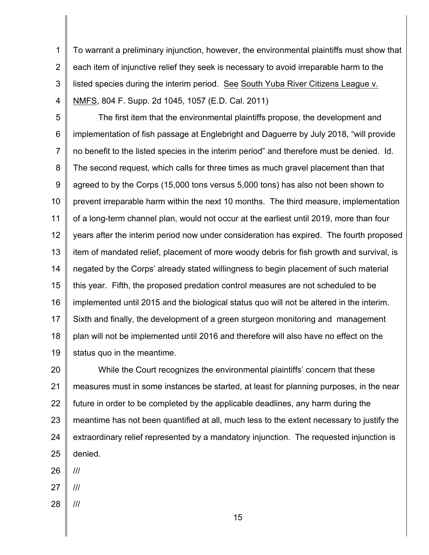1 2 3 4 To warrant a preliminary injunction, however, the environmental plaintiffs must show that each item of injunctive relief they seek is necessary to avoid irreparable harm to the listed species during the interim period. See South Yuba River Citizens League v. NMFS, 804 F. Supp. 2d 1045, 1057 (E.D. Cal. 2011)

5 6 7 8 9 10 11 12 13 14 15 16 17 18 19 The first item that the environmental plaintiffs propose, the development and implementation of fish passage at Englebright and Daguerre by July 2018, "will provide no benefit to the listed species in the interim period" and therefore must be denied. Id. The second request, which calls for three times as much gravel placement than that agreed to by the Corps (15,000 tons versus 5,000 tons) has also not been shown to prevent irreparable harm within the next 10 months. The third measure, implementation of a long-term channel plan, would not occur at the earliest until 2019, more than four years after the interim period now under consideration has expired. The fourth proposed item of mandated relief, placement of more woody debris for fish growth and survival, is negated by the Corps' already stated willingness to begin placement of such material this year. Fifth, the proposed predation control measures are not scheduled to be implemented until 2015 and the biological status quo will not be altered in the interim. Sixth and finally, the development of a green sturgeon monitoring and management plan will not be implemented until 2016 and therefore will also have no effect on the status quo in the meantime.

20 21 22 23 24 25 While the Court recognizes the environmental plaintiffs' concern that these measures must in some instances be started, at least for planning purposes, in the near future in order to be completed by the applicable deadlines, any harm during the meantime has not been quantified at all, much less to the extent necessary to justify the extraordinary relief represented by a mandatory injunction. The requested injunction is denied.

26 ///

27 ///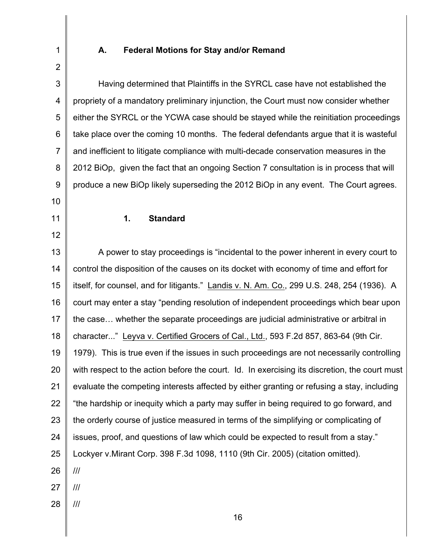# **A. Federal Motions for Stay and/or Remand**

1

| 3  | Having determined that Plaintiffs in the SYRCL case have not established the                  |
|----|-----------------------------------------------------------------------------------------------|
| 4  | propriety of a mandatory preliminary injunction, the Court must now consider whether          |
| 5  | either the SYRCL or the YCWA case should be stayed while the reinitiation proceedings         |
| 6  | take place over the coming 10 months. The federal defendants argue that it is wasteful        |
| 7  | and inefficient to litigate compliance with multi-decade conservation measures in the         |
| 8  | 2012 BiOp, given the fact that an ongoing Section 7 consultation is in process that will      |
| 9  | produce a new BiOp likely superseding the 2012 BiOp in any event. The Court agrees.           |
| 10 |                                                                                               |
| 11 | <b>Standard</b><br>1.                                                                         |
| 12 |                                                                                               |
| 13 | A power to stay proceedings is "incidental to the power inherent in every court to            |
| 14 | control the disposition of the causes on its docket with economy of time and effort for       |
| 15 | itself, for counsel, and for litigants." Landis v. N. Am. Co., 299 U.S. 248, 254 (1936). A    |
| 16 | court may enter a stay "pending resolution of independent proceedings which bear upon         |
| 17 | the case whether the separate proceedings are judicial administrative or arbitral in          |
| 18 | character" Leyva v. Certified Grocers of Cal., Ltd., 593 F.2d 857, 863-64 (9th Cir.           |
| 19 | 1979). This is true even if the issues in such proceedings are not necessarily controlling    |
| 20 | with respect to the action before the court. Id. In exercising its discretion, the court must |
| 21 | evaluate the competing interests affected by either granting or refusing a stay, including    |
| 22 | "the hardship or inequity which a party may suffer in being required to go forward, and       |
| 23 | the orderly course of justice measured in terms of the simplifying or complicating of         |
| 24 | issues, proof, and questions of law which could be expected to result from a stay."           |
| 25 | Lockyer v.Mirant Corp. 398 F.3d 1098, 1110 (9th Cir. 2005) (citation omitted).                |
| 26 | ///                                                                                           |
| 27 | ///                                                                                           |
| 28 |                                                                                               |
|    | 16                                                                                            |
|    |                                                                                               |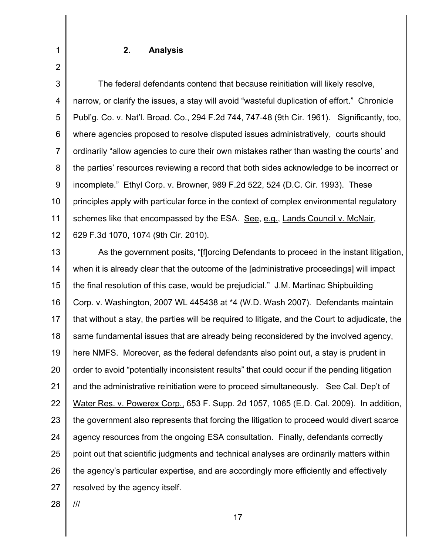### **2. Analysis**

3 4 5 6 7 8 9 10 11 12 The federal defendants contend that because reinitiation will likely resolve, narrow, or clarify the issues, a stay will avoid "wasteful duplication of effort." Chronicle Publ'g. Co. v. Nat'l. Broad. Co., 294 F.2d 744, 747-48 (9th Cir. 1961). Significantly, too, where agencies proposed to resolve disputed issues administratively, courts should ordinarily "allow agencies to cure their own mistakes rather than wasting the courts' and the parties' resources reviewing a record that both sides acknowledge to be incorrect or incomplete." Ethyl Corp. v. Browner, 989 F.2d 522, 524 (D.C. Cir. 1993). These principles apply with particular force in the context of complex environmental regulatory schemes like that encompassed by the ESA. See, e.g., Lands Council v. McNair, 629 F.3d 1070, 1074 (9th Cir. 2010).

13 14 15 16 17 18 19 20 21 22 23 24 25 26 27 As the government posits, "[f]orcing Defendants to proceed in the instant litigation, when it is already clear that the outcome of the [administrative proceedings] will impact the final resolution of this case, would be prejudicial." J.M. Martinac Shipbuilding Corp. v. Washington, 2007 WL 445438 at \*4 (W.D. Wash 2007). Defendants maintain that without a stay, the parties will be required to litigate, and the Court to adjudicate, the same fundamental issues that are already being reconsidered by the involved agency, here NMFS. Moreover, as the federal defendants also point out, a stay is prudent in order to avoid "potentially inconsistent results" that could occur if the pending litigation and the administrative reinitiation were to proceed simultaneously. See Cal. Dep't of Water Res. v. Powerex Corp., 653 F. Supp. 2d 1057, 1065 (E.D. Cal. 2009). In addition, the government also represents that forcing the litigation to proceed would divert scarce agency resources from the ongoing ESA consultation. Finally, defendants correctly point out that scientific judgments and technical analyses are ordinarily matters within the agency's particular expertise, and are accordingly more efficiently and effectively resolved by the agency itself.

28 ///

1

2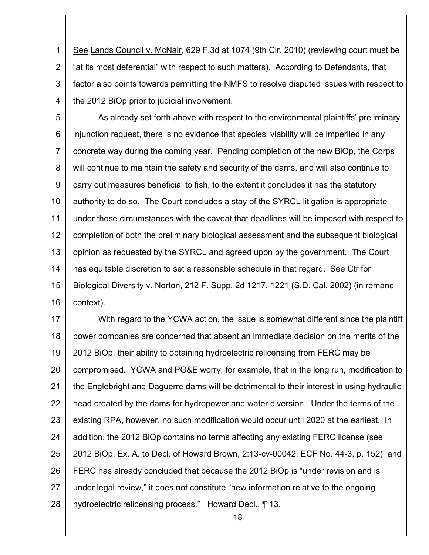1 2 3 4 See Lands Council v. McNair, 629 F.3d at 1074 (9th Cir. 2010) (reviewing court must be "at its most deferential" with respect to such matters). According to Defendants, that factor also points towards permitting the NMFS to resolve disputed issues with respect to the 2012 BiOp prior to judicial involvement.

5 6 7 8 9 10 11 12 13 14 15 16 As already set forth above with respect to the environmental plaintiffs' preliminary injunction request, there is no evidence that species' viability will be imperiled in any concrete way during the coming year. Pending completion of the new BiOp, the Corps will continue to maintain the safety and security of the dams, and will also continue to carry out measures beneficial to fish, to the extent it concludes it has the statutory authority to do so. The Court concludes a stay of the SYRCL litigation is appropriate under those circumstances with the caveat that deadlines will be imposed with respect to completion of both the preliminary biological assessment and the subsequent biological opinion as requested by the SYRCL and agreed upon by the government. The Court has equitable discretion to set a reasonable schedule in that regard. See Ctr for Biological Diversity v. Norton, 212 F. Supp. 2d 1217, 1221 (S.D. Cal. 2002) (in remand context).

17 18 19 20 21 22 23 24 25 26 27 28 With regard to the YCWA action, the issue is somewhat different since the plaintiff power companies are concerned that absent an immediate decision on the merits of the 2012 BiOp, their ability to obtaining hydroelectric relicensing from FERC may be compromised. YCWA and PG&E worry, for example, that in the long run, modification to the Englebright and Daguerre dams will be detrimental to their interest in using hydraulic head created by the dams for hydropower and water diversion. Under the terms of the existing RPA, however, no such modification would occur until 2020 at the earliest. In addition, the 2012 BiOp contains no terms affecting any existing FERC license (see 2012 BiOp, Ex. A. to Decl. of Howard Brown, 2:13-cv-00042, ECF No. 44-3, p. 152) and FERC has already concluded that because the 2012 BiOp is "under revision and is under legal review," it does not constitute "new information relative to the ongoing hydroelectric relicensing process." Howard Decl., ¶ 13.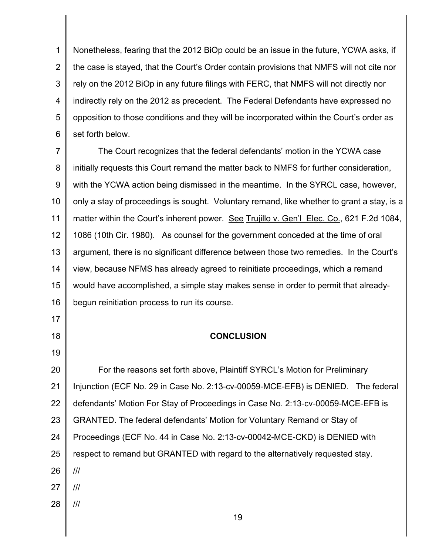1 2 3 4 5 6 Nonetheless, fearing that the 2012 BiOp could be an issue in the future, YCWA asks, if the case is stayed, that the Court's Order contain provisions that NMFS will not cite nor rely on the 2012 BiOp in any future filings with FERC, that NMFS will not directly nor indirectly rely on the 2012 as precedent. The Federal Defendants have expressed no opposition to those conditions and they will be incorporated within the Court's order as set forth below.

7 8 9 10 11 12 13 14 15 16 The Court recognizes that the federal defendants' motion in the YCWA case initially requests this Court remand the matter back to NMFS for further consideration, with the YCWA action being dismissed in the meantime. In the SYRCL case, however, only a stay of proceedings is sought. Voluntary remand, like whether to grant a stay, is a matter within the Court's inherent power. See Trujillo v. Gen'l Elec. Co., 621 F.2d 1084, 1086 (10th Cir. 1980). As counsel for the government conceded at the time of oral argument, there is no significant difference between those two remedies. In the Court's view, because NFMS has already agreed to reinitiate proceedings, which a remand would have accomplished, a simple stay makes sense in order to permit that alreadybegun reinitiation process to run its course.

### **CONCLUSION**

17

18

19

20 21 22 23 24 25 26 27 28 For the reasons set forth above, Plaintiff SYRCL's Motion for Preliminary Injunction (ECF No. 29 in Case No. 2:13-cv-00059-MCE-EFB) is DENIED. The federal defendants' Motion For Stay of Proceedings in Case No. 2:13-cv-00059-MCE-EFB is GRANTED. The federal defendants' Motion for Voluntary Remand or Stay of Proceedings (ECF No. 44 in Case No. 2:13-cv-00042-MCE-CKD) is DENIED with respect to remand but GRANTED with regard to the alternatively requested stay. /// /// ///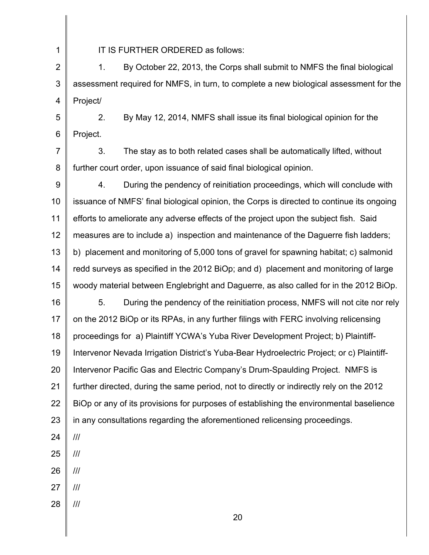1

IT IS FURTHER ORDERED as follows:

2 3 4 1. By October 22, 2013, the Corps shall submit to NMFS the final biological assessment required for NMFS, in turn, to complete a new biological assessment for the Project/

5 6 2. By May 12, 2014, NMFS shall issue its final biological opinion for the Project.

7 8 3. The stay as to both related cases shall be automatically lifted, without further court order, upon issuance of said final biological opinion.

9 10 11 12 13 14 15 16 17 18 19 20 21 22 4. During the pendency of reinitiation proceedings, which will conclude with issuance of NMFS' final biological opinion, the Corps is directed to continue its ongoing efforts to ameliorate any adverse effects of the project upon the subject fish. Said measures are to include a) inspection and maintenance of the Daguerre fish ladders; b) placement and monitoring of 5,000 tons of gravel for spawning habitat; c) salmonid redd surveys as specified in the 2012 BiOp; and d) placement and monitoring of large woody material between Englebright and Daguerre, as also called for in the 2012 BiOp. 5. During the pendency of the reinitiation process, NMFS will not cite nor rely on the 2012 BiOp or its RPAs, in any further filings with FERC involving relicensing proceedings for a) Plaintiff YCWA's Yuba River Development Project; b) Plaintiff-Intervenor Nevada Irrigation District's Yuba-Bear Hydroelectric Project; or c) Plaintiff-Intervenor Pacific Gas and Electric Company's Drum-Spaulding Project. NMFS is further directed, during the same period, not to directly or indirectly rely on the 2012 BiOp or any of its provisions for purposes of establishing the environmental baselience

23 in any consultations regarding the aforementioned relicensing proceedings.

24

- 25 ///
- 26 ///
- 27 ///
- 28 ///